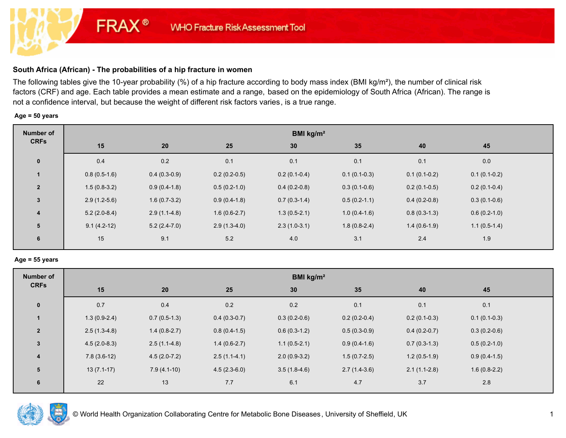# **South Africa (African) - The probabilities of a hip fracture in women**

**FRAX®** 

The following tables give the 10-year probability (%) of a hip fracture according to body mass index (BMI kg/m²), the number of clinical risk factors (CRF) and age. Each table provides a mean estimate and a range, based on the epidemiology of South Africa (African). The range is not a confidence interval, but because the weight of different risk factors varies, is a true range.

#### **Age = 50 years**

| Number of               | BMI $kg/m2$    |                |                |                |                |                |                |  |  |
|-------------------------|----------------|----------------|----------------|----------------|----------------|----------------|----------------|--|--|
| <b>CRFs</b>             | 15             | 20             | 25             | 30             | 35             | 40             | 45             |  |  |
| $\mathbf 0$             | 0.4            | 0.2            | 0.1            | 0.1            | 0.1            | 0.1            | 0.0            |  |  |
|                         | $0.8(0.5-1.6)$ | $0.4(0.3-0.9)$ | $0.2(0.2-0.5)$ | $0.2(0.1-0.4)$ | $0.1(0.1-0.3)$ | $0.1(0.1-0.2)$ | $0.1(0.1-0.2)$ |  |  |
| $\overline{2}$          | $1.5(0.8-3.2)$ | $0.9(0.4-1.8)$ | $0.5(0.2-1.0)$ | $0.4(0.2-0.8)$ | $0.3(0.1-0.6)$ | $0.2(0.1-0.5)$ | $0.2(0.1-0.4)$ |  |  |
| $\mathbf{3}$            | $2.9(1.2-5.6)$ | $1.6(0.7-3.2)$ | $0.9(0.4-1.8)$ | $0.7(0.3-1.4)$ | $0.5(0.2-1.1)$ | $0.4(0.2-0.8)$ | $0.3(0.1-0.6)$ |  |  |
| $\overline{\mathbf{4}}$ | $5.2(2.0-8.4)$ | $2.9(1.1-4.8)$ | $1.6(0.6-2.7)$ | $1.3(0.5-2.1)$ | $1.0(0.4-1.6)$ | $0.8(0.3-1.3)$ | $0.6(0.2-1.0)$ |  |  |
| 5                       | $9.1(4.2-12)$  | $5.2(2.4-7.0)$ | $2.9(1.3-4.0)$ | $2.3(1.0-3.1)$ | $1.8(0.8-2.4)$ | $1.4(0.6-1.9)$ | $1.1(0.5-1.4)$ |  |  |
| 6                       | 15             | 9.1            | 5.2            | 4.0            | 3.1            | 2.4            | 1.9            |  |  |

#### **Age = 55 years**

| BMI $kg/m2$    |                |                |                |  |  |  |  |  |
|----------------|----------------|----------------|----------------|--|--|--|--|--|
| 30             | 35             | 40             | 45             |  |  |  |  |  |
| 0.2            | 0.1            | 0.1            | 0.1            |  |  |  |  |  |
| $0.3(0.2-0.6)$ | $0.2(0.2-0.4)$ | $0.2(0.1-0.3)$ | $0.1(0.1-0.3)$ |  |  |  |  |  |
| $0.6(0.3-1.2)$ | $0.5(0.3-0.9)$ | $0.4(0.2-0.7)$ | $0.3(0.2-0.6)$ |  |  |  |  |  |
| $1.1(0.5-2.1)$ | $0.9(0.4-1.6)$ | $0.7(0.3-1.3)$ | $0.5(0.2-1.0)$ |  |  |  |  |  |
| $2.0(0.9-3.2)$ | $1.5(0.7-2.5)$ | $1.2(0.5-1.9)$ | $0.9(0.4-1.5)$ |  |  |  |  |  |
| $3.5(1.8-4.6)$ | $2.7(1.4-3.6)$ | $2.1(1.1-2.8)$ | $1.6(0.8-2.2)$ |  |  |  |  |  |
| 6.1            | 4.7            | 3.7            | 2.8            |  |  |  |  |  |
|                |                |                |                |  |  |  |  |  |

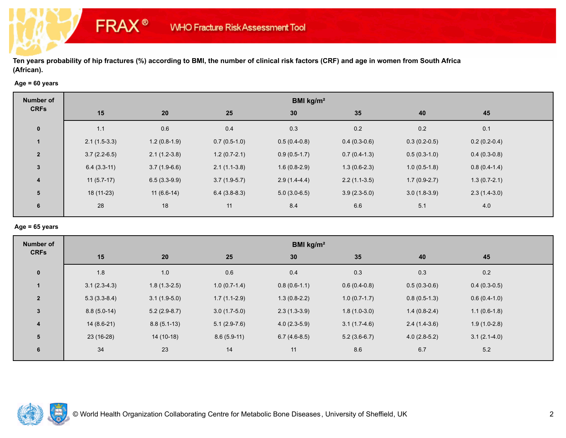## **Age = 60 years**

**FRAX®** 

| Number of               | BMI kg/m <sup>2</sup> |                |                |                |                |                |                |  |  |
|-------------------------|-----------------------|----------------|----------------|----------------|----------------|----------------|----------------|--|--|
| <b>CRFs</b>             | 15                    | 20             | 25             | 30             | 35             | 40             | 45             |  |  |
| $\mathbf 0$             | 1.1                   | 0.6            | 0.4            | 0.3            | 0.2            | 0.2            | 0.1            |  |  |
|                         | $2.1(1.5-3.3)$        | $1.2(0.8-1.9)$ | $0.7(0.5-1.0)$ | $0.5(0.4-0.8)$ | $0.4(0.3-0.6)$ | $0.3(0.2-0.5)$ | $0.2(0.2-0.4)$ |  |  |
| $\overline{2}$          | $3.7(2.2-6.5)$        | $2.1(1.2-3.8)$ | $1.2(0.7-2.1)$ | $0.9(0.5-1.7)$ | $0.7(0.4-1.3)$ | $0.5(0.3-1.0)$ | $0.4(0.3-0.8)$ |  |  |
| $3\phantom{a}$          | $6.4(3.3-11)$         | $3.7(1.9-6.6)$ | $2.1(1.1-3.8)$ | $1.6(0.8-2.9)$ | $1.3(0.6-2.3)$ | $1.0(0.5-1.8)$ | $0.8(0.4-1.4)$ |  |  |
| $\overline{\mathbf{4}}$ | $11(5.7-17)$          | $6.5(3.3-9.9)$ | $3.7(1.9-5.7)$ | $2.9(1.4-4.4)$ | $2.2(1.1-3.5)$ | $1.7(0.9-2.7)$ | $1.3(0.7-2.1)$ |  |  |
| 5                       | 18 (11-23)            | $11(6.6-14)$   | $6.4(3.8-8.3)$ | $5.0(3.0-6.5)$ | $3.9(2.3-5.0)$ | $3.0(1.8-3.9)$ | $2.3(1.4-3.0)$ |  |  |
| 6                       | 28                    | 18             | 11             | 8.4            | 6.6            | 5.1            | 4.0            |  |  |

#### **Age = 65 years**

| <b>Number of</b> | BMI kg/m <sup>2</sup> |                |                |                |                |                |                |  |  |
|------------------|-----------------------|----------------|----------------|----------------|----------------|----------------|----------------|--|--|
| <b>CRFs</b>      | 15                    | 20             | 25             | 30             | 35             | 40             | 45             |  |  |
| $\mathbf 0$      | 1.8                   | 1.0            | 0.6            | 0.4            | 0.3            | 0.3            | $0.2\,$        |  |  |
|                  | $3.1(2.3-4.3)$        | $1.8(1.3-2.5)$ | $1.0(0.7-1.4)$ | $0.8(0.6-1.1)$ | $0.6(0.4-0.8)$ | $0.5(0.3-0.6)$ | $0.4(0.3-0.5)$ |  |  |
| $\overline{2}$   | $5.3(3.3-8.4)$        | $3.1(1.9-5.0)$ | $1.7(1.1-2.9)$ | $1.3(0.8-2.2)$ | $1.0(0.7-1.7)$ | $0.8(0.5-1.3)$ | $0.6(0.4-1.0)$ |  |  |
| $\mathbf{3}$     | $8.8(5.0-14)$         | $5.2(2.9-8.7)$ | $3.0(1.7-5.0)$ | $2.3(1.3-3.9)$ | $1.8(1.0-3.0)$ | $1.4(0.8-2.4)$ | $1.1(0.6-1.8)$ |  |  |
| $\overline{4}$   | $14(8.6-21)$          | $8.8(5.1-13)$  | $5.1(2.9-7.6)$ | $4.0(2.3-5.9)$ | $3.1(1.7-4.6)$ | $2.4(1.4-3.6)$ | $1.9(1.0-2.8)$ |  |  |
| 5                | 23 (16-28)            | $14(10-18)$    | $8.6(5.9-11)$  | $6.7(4.6-8.5)$ | $5.2(3.6-6.7)$ | $4.0(2.8-5.2)$ | $3.1(2.1-4.0)$ |  |  |
| 6                | 34                    | 23             | 14             | 11             | 8.6            | 6.7            | $5.2\,$        |  |  |

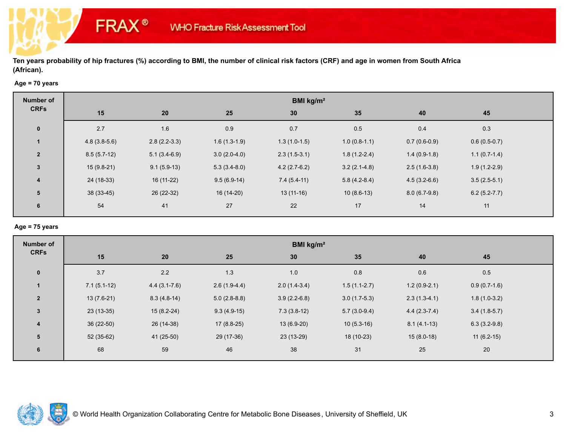## **Age = 70 years**

**FRAX®** 

| Number of               | BMI kg/m <sup>2</sup> |                |                |                |                |                |                  |  |  |
|-------------------------|-----------------------|----------------|----------------|----------------|----------------|----------------|------------------|--|--|
| <b>CRFs</b>             | 15                    | 20             | 25             | 30             | 35             | 40             | 45               |  |  |
| $\bf{0}$                | 2.7                   | 1.6            | 0.9            | 0.7            | $0.5\,$        | 0.4            | 0.3              |  |  |
|                         | $4.8(3.8-5.6)$        | $2.8(2.2-3.3)$ | $1.6(1.3-1.9)$ | $1.3(1.0-1.5)$ | $1.0(0.8-1.1)$ | $0.7(0.6-0.9)$ | $0.6(0.5-0.7)$   |  |  |
| $\overline{2}$          | $8.5(5.7-12)$         | $5.1(3.4-6.9)$ | $3.0(2.0-4.0)$ | $2.3(1.5-3.1)$ | $1.8(1.2-2.4)$ | $1.4(0.9-1.8)$ | $1.1(0.7-1.4)$   |  |  |
| $\mathbf{3}$            | $15(9.8-21)$          | $9.1(5.9-13)$  | $5.3(3.4-8.0)$ | $4.2(2.7-6.2)$ | $3.2(2.1-4.8)$ | $2.5(1.6-3.8)$ | $1.9(1.2-2.9)$   |  |  |
| $\overline{\mathbf{4}}$ | 24 (18-33)            | 16 (11-22)     | $9.5(6.9-14)$  | $7.4(5.4-11)$  | $5.8(4.2-8.4)$ | $4.5(3.2-6.6)$ | $3.5(2.5-5.1)$   |  |  |
| 5                       | $38(33-45)$           | 26 (22-32)     | 16 (14-20)     | $13(11-16)$    | $10(8.6-13)$   | $8.0(6.7-9.8)$ | $6.2(5.2 - 7.7)$ |  |  |
| 6                       | 54                    | 41             | 27             | 22             | 17             | 14             | 11               |  |  |

#### **Age = 75 years**

| <b>Number of</b> | BMI kg/m <sup>2</sup> |                  |                |                |                |                |                |  |  |
|------------------|-----------------------|------------------|----------------|----------------|----------------|----------------|----------------|--|--|
| <b>CRFs</b>      | 15                    | 20               | 25             | 30             | 35             | 40             | 45             |  |  |
| $\mathbf 0$      | 3.7                   | 2.2              | 1.3            | 1.0            | 0.8            | 0.6            | 0.5            |  |  |
|                  | $7.1(5.1-12)$         | $4.4(3.1 - 7.6)$ | $2.6(1.9-4.4)$ | $2.0(1.4-3.4)$ | $1.5(1.1-2.7)$ | $1.2(0.9-2.1)$ | $0.9(0.7-1.6)$ |  |  |
| $\overline{2}$   | $13(7.6-21)$          | $8.3(4.8-14)$    | $5.0(2.8-8.8)$ | $3.9(2.2-6.8)$ | $3.0(1.7-5.3)$ | $2.3(1.3-4.1)$ | $1.8(1.0-3.2)$ |  |  |
| $\mathbf{3}$     | $23(13-35)$           | $15(8.2-24)$     | $9.3(4.9-15)$  | $7.3(3.8-12)$  | $5.7(3.0-9.4)$ | $4.4(2.3-7.4)$ | $3.4(1.8-5.7)$ |  |  |
| $\overline{4}$   | 36 (22-50)            | 26 (14-38)       | $17(8.8-25)$   | $13(6.9-20)$   | $10(5.3-16)$   | $8.1(4.1-13)$  | $6.3(3.2-9.8)$ |  |  |
| 5                | 52 (35-62)            | 41 (25-50)       | 29 (17-36)     | 23 (13-29)     | 18 (10-23)     | $15(8.0-18)$   | $11(6.2-15)$   |  |  |
| 6                | 68                    | 59               | 46             | 38             | 31             | 25             | 20             |  |  |

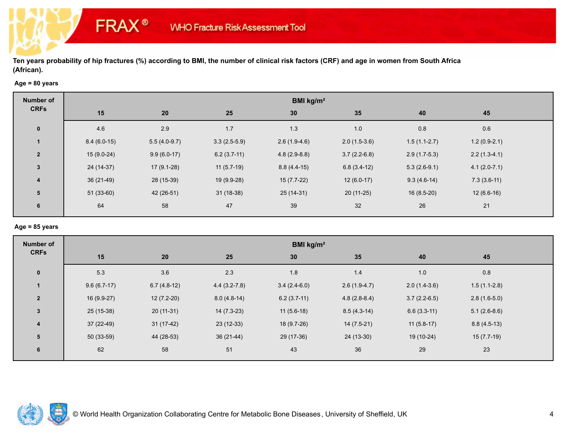#### **Age = 80 years**

**FRAX®** 

| Number of               | BMI kg/m <sup>2</sup> |                |                |                |                |                |                |  |  |
|-------------------------|-----------------------|----------------|----------------|----------------|----------------|----------------|----------------|--|--|
| <b>CRFs</b>             | 15                    | 20             | 25             | 30             | 35             | 40             | 45             |  |  |
| $\bf{0}$                | 4.6                   | 2.9            | 1.7            | 1.3            | $1.0$          | 0.8            | 0.6            |  |  |
|                         | $8.4(6.0-15)$         | $5.5(4.0-9.7)$ | $3.3(2.5-5.9)$ | $2.6(1.9-4.6)$ | $2.0(1.5-3.6)$ | $1.5(1.1-2.7)$ | $1.2(0.9-2.1)$ |  |  |
| $\overline{2}$          | $15(9.0-24)$          | $9.9(6.0-17)$  | $6.2(3.7-11)$  | $4.8(2.9-8.8)$ | $3.7(2.2-6.8)$ | $2.9(1.7-5.3)$ | $2.2(1.3-4.1)$ |  |  |
| 3                       | 24 (14-37)            | $17(9.1-28)$   | $11(5.7-19)$   | $8.8(4.4-15)$  | $6.8(3.4-12)$  | $5.3(2.6-9.1)$ | $4.1(2.0-7.1)$ |  |  |
| $\overline{\mathbf{4}}$ | $36(21-49)$           | 28 (15-39)     | 19 (9.9-28)    | $15(7.7-22)$   | $12(6.0-17)$   | $9.3(4.6-14)$  | $7.3(3.6-11)$  |  |  |
| 5                       | $51(33-60)$           | 42 (26-51)     | $31(18-38)$    | $25(14-31)$    | $20(11-25)$    | $16(8.5-20)$   | $12(6.6-16)$   |  |  |
| 6                       | 64                    | 58             | 47             | 39             | 32             | 26             | 21             |  |  |

## **Age = 85 years**

| <b>Number of</b> | BMI kg/m <sup>2</sup> |               |                |                 |                |                |                |  |  |
|------------------|-----------------------|---------------|----------------|-----------------|----------------|----------------|----------------|--|--|
| <b>CRFs</b>      | 15                    | 20            | 25             | 30 <sub>2</sub> | 35             | 40             | 45             |  |  |
| $\mathbf 0$      | 5.3                   | 3.6           | 2.3            | 1.8             | 1.4            | 1.0            | $0.8\,$        |  |  |
|                  | $9.6(6.7-17)$         | $6.7(4.8-12)$ | $4.4(3.2-7.8)$ | $3.4(2.4-6.0)$  | $2.6(1.9-4.7)$ | $2.0(1.4-3.6)$ | $1.5(1.1-2.8)$ |  |  |
| $\overline{2}$   | $16(9.9-27)$          | $12(7.2-20)$  | $8.0(4.8-14)$  | $6.2(3.7-11)$   | $4.8(2.8-8.4)$ | $3.7(2.2-6.5)$ | $2.8(1.6-5.0)$ |  |  |
| $\mathbf{3}$     | $25(15-38)$           | $20(11-31)$   | $14(7.3-23)$   | $11(5.6-18)$    | $8.5(4.3-14)$  | $6.6(3.3-11)$  | $5.1(2.6-8.6)$ |  |  |
| $\overline{4}$   | $37(22-49)$           | $31(17-42)$   | $23(12-33)$    | 18 (9.7-26)     | $14(7.5-21)$   | $11(5.8-17)$   | $8.8(4.5-13)$  |  |  |
| 5                | 50 (33-59)            | 44 (28-53)    | $36(21-44)$    | 29 (17-36)      | $24(13-30)$    | 19 (10-24)     | $15(7.7-19)$   |  |  |
| 6                | 62                    | 58            | 51             | 43              | 36             | 29             | 23             |  |  |